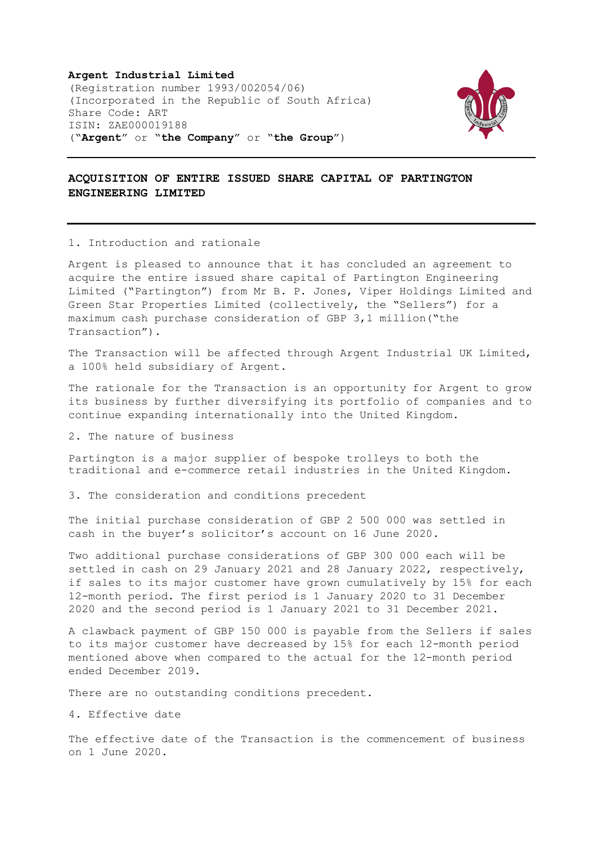**Argent Industrial Limited**  (Registration number 1993/002054/06) (Incorporated in the Republic of South Africa) Share Code: ART ISIN: ZAE000019188 ("**Argent**" or "**the Company**" or "**the Group**")



## **ACQUISITION OF ENTIRE ISSUED SHARE CAPITAL OF PARTINGTON ENGINEERING LIMITED**

1. Introduction and rationale

Argent is pleased to announce that it has concluded an agreement to acquire the entire issued share capital of Partington Engineering Limited ("Partington") from Mr B. P. Jones, Viper Holdings Limited and Green Star Properties Limited (collectively, the "Sellers") for a maximum cash purchase consideration of GBP 3,1 million("the Transaction").

The Transaction will be affected through Argent Industrial UK Limited, a 100% held subsidiary of Argent.

The rationale for the Transaction is an opportunity for Argent to grow its business by further diversifying its portfolio of companies and to continue expanding internationally into the United Kingdom.

2. The nature of business

Partington is a major supplier of bespoke trolleys to both the traditional and e-commerce retail industries in the United Kingdom.

3. The consideration and conditions precedent

The initial purchase consideration of GBP 2 500 000 was settled in cash in the buyer's solicitor's account on 16 June 2020.

Two additional purchase considerations of GBP 300 000 each will be settled in cash on 29 January 2021 and 28 January 2022, respectively, if sales to its major customer have grown cumulatively by 15% for each 12-month period. The first period is 1 January 2020 to 31 December 2020 and the second period is 1 January 2021 to 31 December 2021.

A clawback payment of GBP 150 000 is payable from the Sellers if sales to its major customer have decreased by 15% for each 12-month period mentioned above when compared to the actual for the 12-month period ended December 2019.

There are no outstanding conditions precedent.

4. Effective date

The effective date of the Transaction is the commencement of business on 1 June 2020.